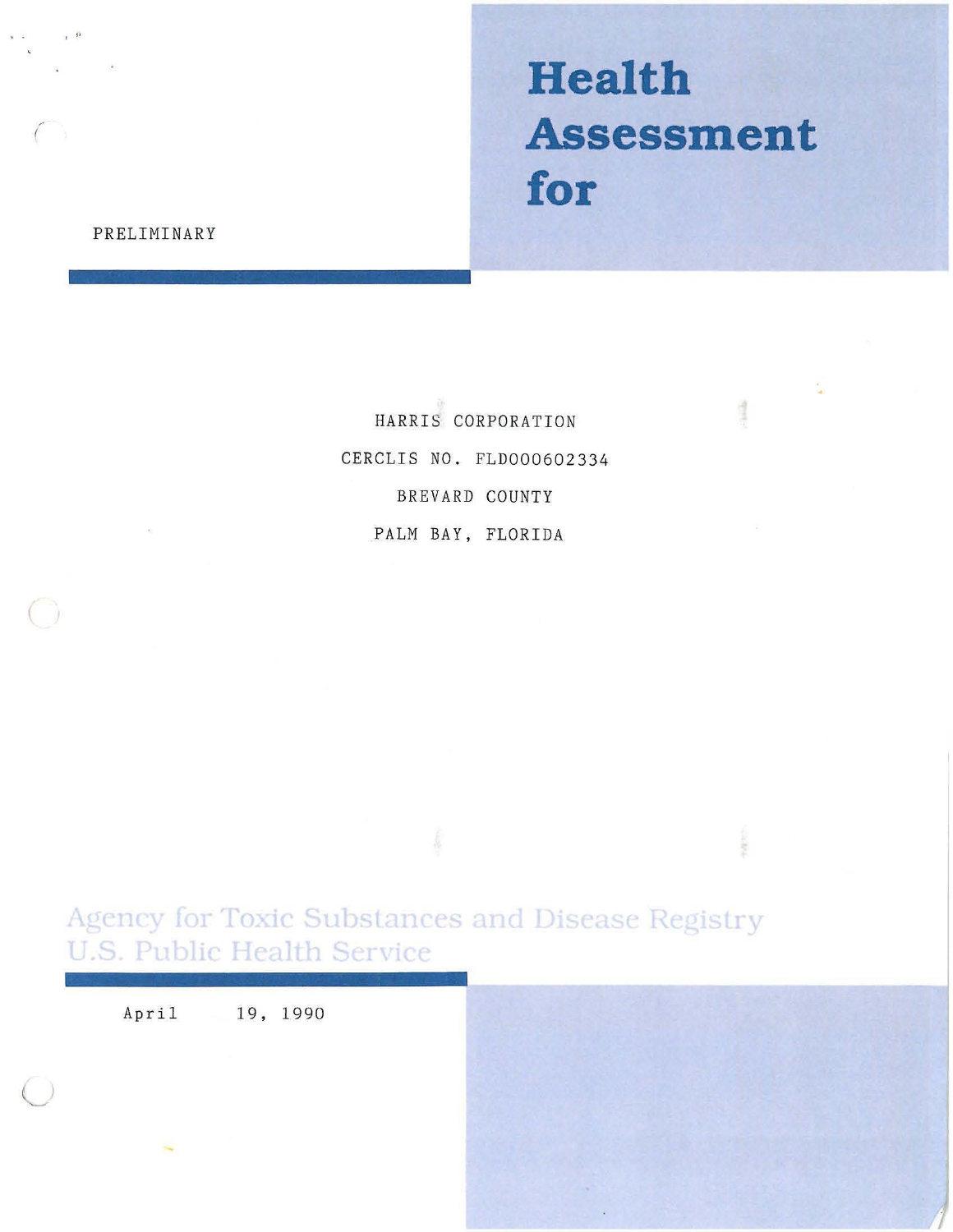# **Health Assessment for**

1

# PRELIMINARY

, "

HARRIS CORPORATION CERCLIS NO. FLD000602334 BREVARD COUNTY PALM BAY, FLORIDA

Agency for Toxic Substances and Disease Registry **U.S. Public Health Service** 

April 19, 1990

 $\subset$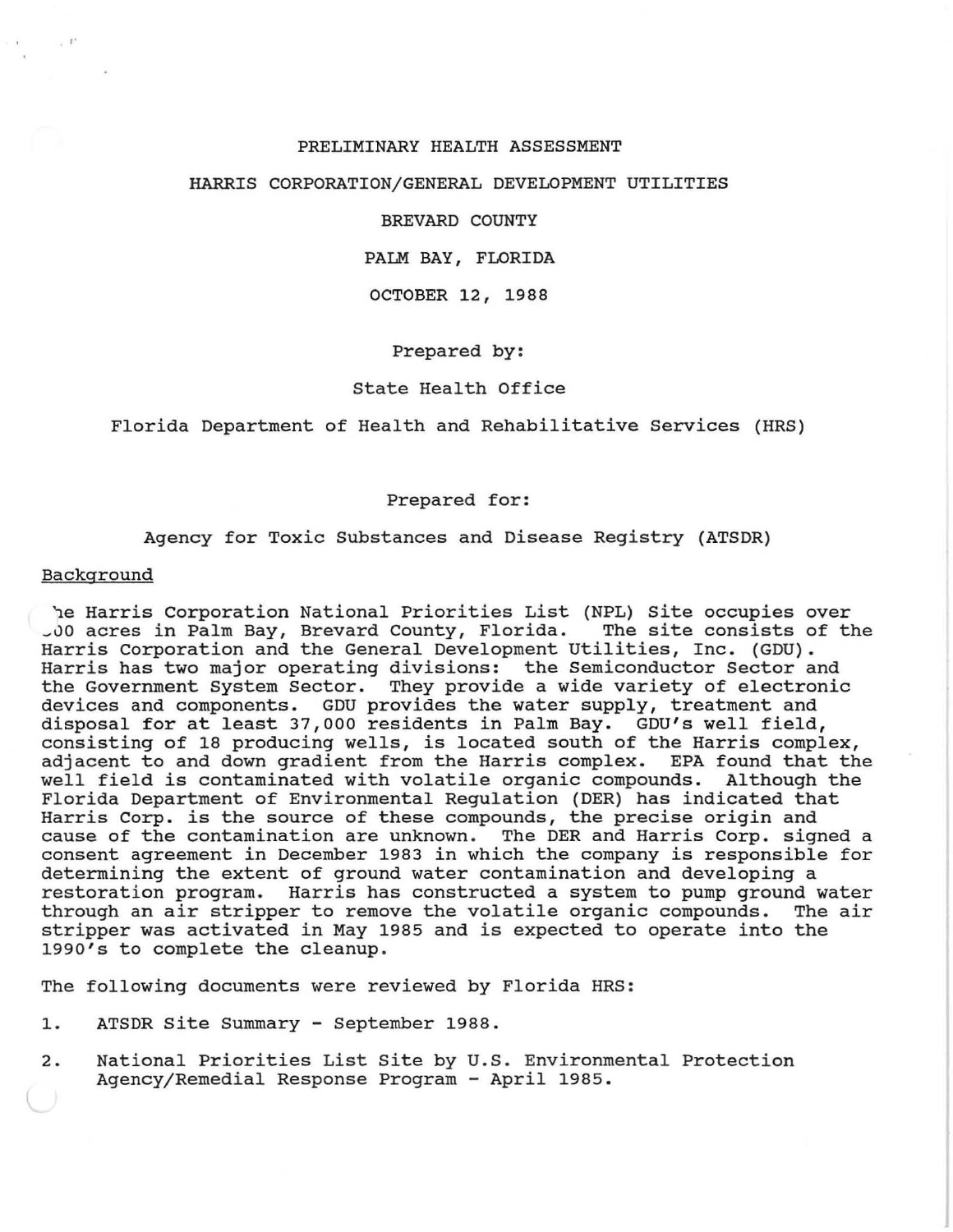## PRELIMINARY HEALTH ASSESSMENT

#### HARRIS CORPORATION/GENERAL DEVELOPMENT UTILITIES

## BREVARD COUNTY

## PALM BAY, FLORIDA

#### OCTOBER 12, 1988

## Prepared by:

## State Health Office

Florida Department of Health and Rehabilitative Services (HRS)

#### Prepared for:

#### Agency for Toxic Substances and Disease Registry (ATSDR)

## Background

· "

he Harris Corporation National Priorities List (NPL) Site occupies over<br>10 acres in Palm Bay, Brevard County, Florida. The site consists of the \_vo acres in Palm Bay, Brevard County, Florida. The site consists of the Harris Corporation and the General Development Utilities, Inc. (GDU). Harris has two major operating divisions: the Semiconductor Sector and the Government System Sector. They provide a wide variety of electronic devices and components. GDU provides the water supply, treatment and disposal for at least 37,000 residents in Palm Bay. GDU's well field, consisting of 18 producing wells, is located south of the Harris complex, adjacent to and down gradient from the Harris complex. EPA found that the well field is contaminated with volatile organic compounds. Although the Florida Department of Environmental Regulation (DER) has indicated that Harris Corp. is the source of these compounds, the precise origin and cause of the contamination are unknown. The DER and Harris Corp. signed a consent agreement in December 1983 in which the company is responsible for determining the extent of ground water contamination and developing a restoration program. Harris has constructed a system to pump ground water through an air stripper to remove the volatile organic compounds. stripper was activated in May 1985 and is expected to operate into the 1990's to complete the cleanup.

The following documents were reviewed by Florida HRS:

- 1. ATSDR site Summary September 1988.
- 2. National Priorities List Site by U.S. Environmental Protection Agency/ Remedial Response Program - April 1985.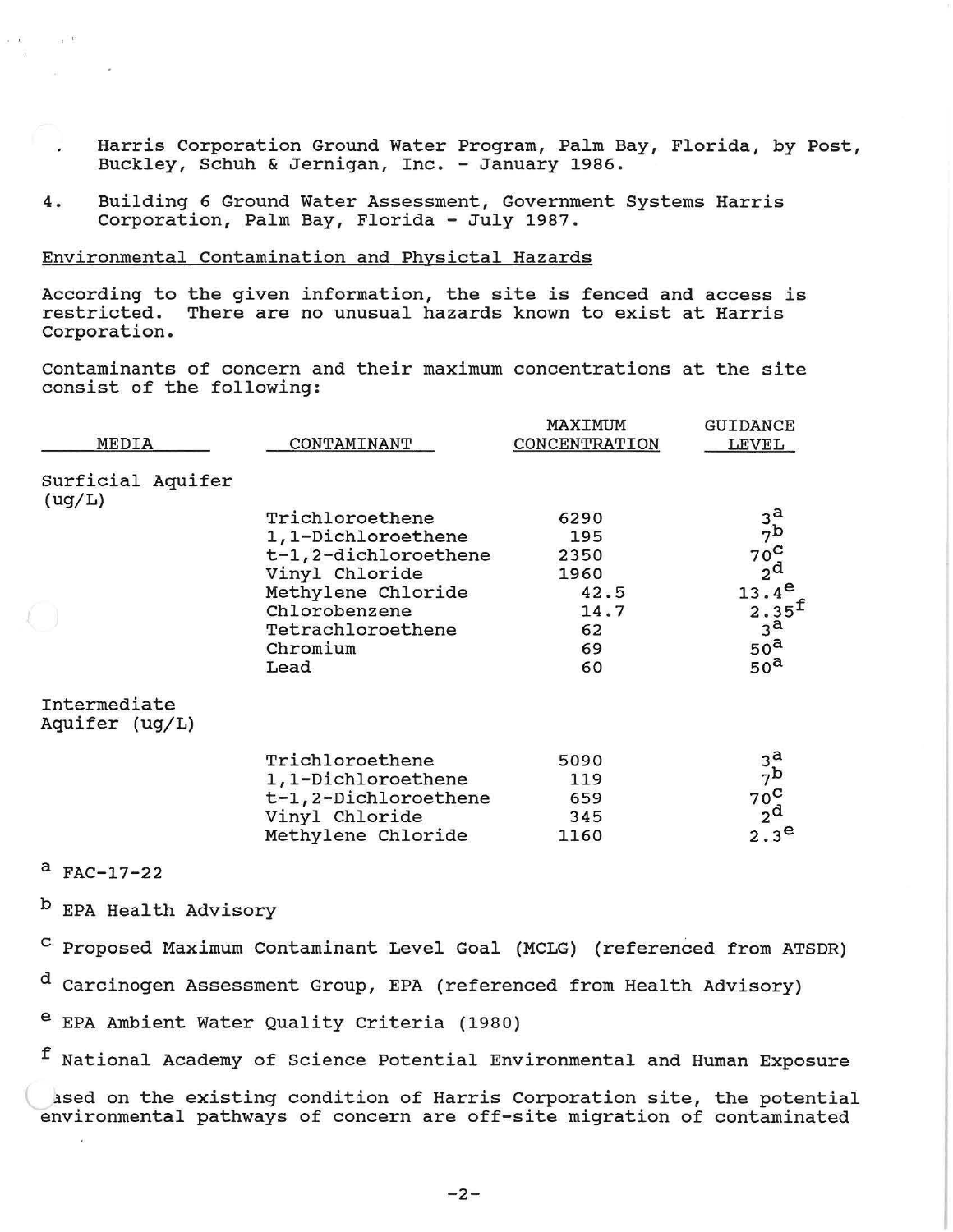- Harris Corporation Ground Water Program, Palm Bay, Florida, by Post, Buckley, Schuh & Jernigan, Inc. - January 1986.
- 4. Building 6 Ground Water Assessment, Government Systems Harris Corporation, Palm Bay, Florida - July 1987.

## Environmental contamination and Physictal Hazards

According to the given information, the site is fenced and access is restricted. There are no unusual hazards known to exist at Harris Corporation.

contaminants of concern and their maximum concentrations at the site consist of the following:

| CONTAMINANT          | MAXIMUM<br>CONCENTRATION                                                                                                                                                      | <b>GUIDANCE</b><br>LEVEL                                  |
|----------------------|-------------------------------------------------------------------------------------------------------------------------------------------------------------------------------|-----------------------------------------------------------|
|                      |                                                                                                                                                                               |                                                           |
| Trichloroethene      | 6290                                                                                                                                                                          | $3^a_{\text{7b}}$                                         |
|                      | 195                                                                                                                                                                           |                                                           |
|                      |                                                                                                                                                                               | $70^{\circ}$                                              |
|                      |                                                                                                                                                                               | 2 <sup>d</sup>                                            |
|                      |                                                                                                                                                                               | $13.4^e$                                                  |
|                      |                                                                                                                                                                               | $2.35^{f}$<br>$3^{\mathbf{a}}$                            |
|                      |                                                                                                                                                                               | 50 <sup>a</sup>                                           |
| Lead                 | 60                                                                                                                                                                            | 50 <sup>a</sup>                                           |
|                      |                                                                                                                                                                               |                                                           |
|                      |                                                                                                                                                                               |                                                           |
|                      | 119                                                                                                                                                                           | $\begin{array}{c}\n3^a \\ 7^b \\ 7^c \\ 2^d\n\end{array}$ |
| t-1,2-Dichloroethene | 659                                                                                                                                                                           |                                                           |
| Vinyl Chloride       | 345                                                                                                                                                                           |                                                           |
| Methylene Chloride   | 1160                                                                                                                                                                          | 2.3 <sup>e</sup>                                          |
|                      | 1,1-Dichloroethene<br>t-1,2-dichloroethene<br>Vinyl Chloride<br>Methylene Chloride<br>Chlorobenzene<br>Tetrachloroethene<br>Chromium<br>Trichloroethene<br>1,1-Dichloroethene | 2350<br>1960<br>42.5<br>14.7<br>62<br>69<br>5090          |

a FAC-17-22

,  $\Gamma$ 

 $\omega = 1$ 

**b** EPA Health Advisory

c Proposed Maximum contaminant Level Goal (MCLG) (referenced from ATSDR)

d Carcinogen Assessment Group, EPA (referenced from Health Advisory)

e EPA Ambient Water Quality criteria (1980)

f National Academy of Science Potential Environmental and Human Exposure

lsed on the existing condition of Harris Corporation site, the potential environmental pathways of concern are off-site migration of contaminated